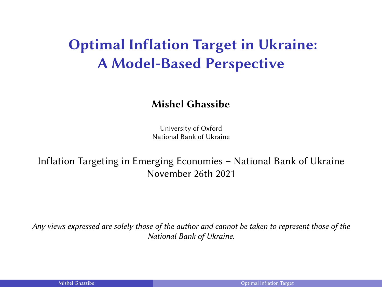# Optimal Inflation Target in Ukraine: A Model-Based Perspective

#### Mishel Ghassibe

University of Oxford National Bank of Ukraine

Inflation Targeting in Emerging Economies – National Bank of Ukraine November 26th 2021

Any views expressed are solely those of the author and cannot be taken to represent those of the National Bank of Ukraine.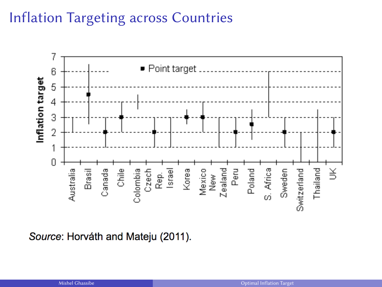# Inflation Targeting across Countries



Source: Horváth and Mateju (2011).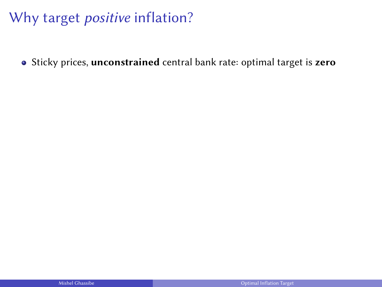• Sticky prices, unconstrained central bank rate: optimal target is zero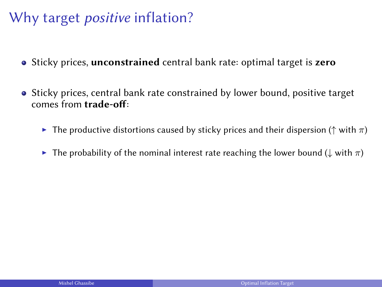- Sticky prices, unconstrained central bank rate: optimal target is zero
- Sticky prices, central bank rate constrained by lower bound, positive target comes from trade-off:
	- **F** The productive distortions caused by sticky prices and their dispersion ( $\uparrow$  with  $\pi$ )
	- **►** The probability of the nominal interest rate reaching the lower bound ( $\downarrow$  with  $\pi$ )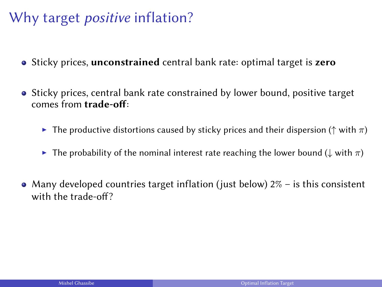- Sticky prices, unconstrained central bank rate: optimal target is zero
- Sticky prices, central bank rate constrained by lower bound, positive target comes from trade-off:
	- **F** The productive distortions caused by sticky prices and their dispersion ( $\uparrow$  with  $\pi$ )
	- $\blacktriangleright$  The probability of the nominal interest rate reaching the lower bound ( $\downarrow$  with π)
- Many developed countries target inflation (just below)  $2\%$  is this consistent with the trade-off?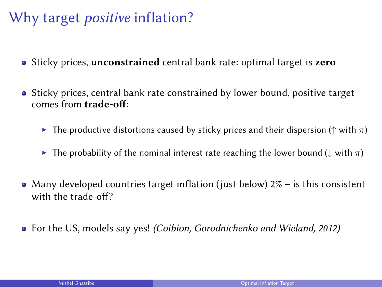- Sticky prices, unconstrained central bank rate: optimal target is zero
- Sticky prices, central bank rate constrained by lower bound, positive target comes from trade-off:
	- **►** The productive distortions caused by sticky prices and their dispersion ( $\uparrow$  with  $\pi$ )
	- $\blacktriangleright$  The probability of the nominal interest rate reaching the lower bound ( $\downarrow$  with π)
- Many developed countries target inflation (just below)  $2\%$  is this consistent with the trade-off?
- For the US, models say yes! (Coibion, Gorodnichenko and Wieland, 2012)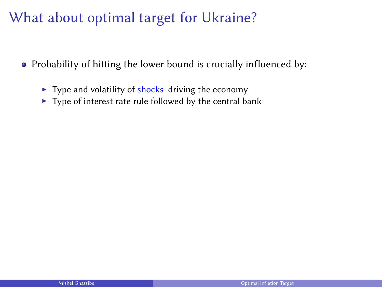# What about optimal target for Ukraine?

- $\bullet$  Probability of hitting the lower bound is crucially influenced by:
	- $\triangleright$  Type and volatility of shocks driving the economy
	- $\blacktriangleright$  Type of interest rate rule followed by the central bank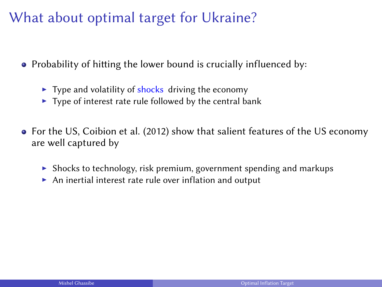# What about optimal target for Ukraine?

- Probability of hitting the lower bound is crucially influenced by:
	- $\blacktriangleright$  Type and volatility of shocks driving the economy
	- $\blacktriangleright$  Type of interest rate rule followed by the central bank
- For the US, Coibion et al. (2012) show that salient features of the US economy are well captured by
	- $\triangleright$  Shocks to technology, risk premium, government spending and markups
	- $\triangleright$  An inertial interest rate rule over inflation and output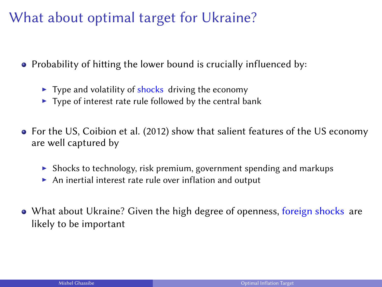# What about optimal target for Ukraine?

- Probability of hitting the lower bound is crucially influenced by:
	- $\blacktriangleright$  Type and volatility of shocks driving the economy
	- $\blacktriangleright$  Type of interest rate rule followed by the central bank
- For the US, Coibion et al. (2012) show that salient features of the US economy are well captured by
	- $\triangleright$  Shocks to technology, risk premium, government spending and markups
	- $\triangleright$  An inertial interest rate rule over inflation and output
- What about Ukraine? Given the high degree of openness, foreign shocks are likely to be important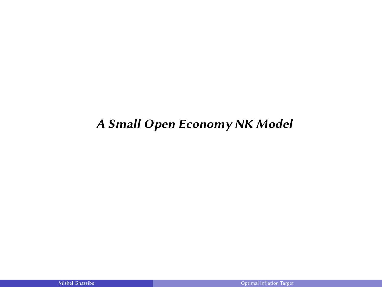#### A Small Open Economy NK Model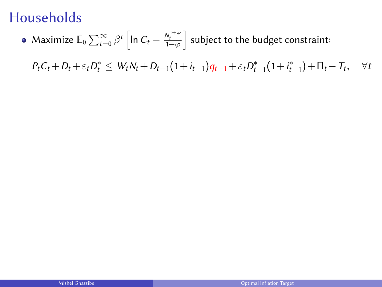Maximize  $\mathbb{E}_0\sum_{t=0}^{\infty}\beta^t\left[\ln C_t-\frac{N_t^{1+\varphi}}{1+\varphi}\right]$  subject to the budget constraint:

 $P_t C_t + D_t + \varepsilon_t D_t^* \leq W_t N_t + D_{t-1} (1 + i_{t-1}) q_{t-1} + \varepsilon_t D_{t-1}^* (1 + i_{t-1}^*) + \Pi_t - T_t$  $\forall t$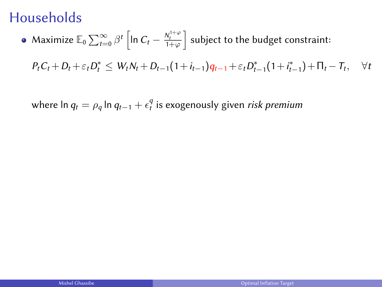Maximize  $\mathbb{E}_0\sum_{t=0}^{\infty}\beta^t\left[\ln C_t-\frac{N_t^{1+\varphi}}{1+\varphi}\right]$  subject to the budget constraint:

 $P_t C_t + D_t + \varepsilon_t D_t^* \leq W_t N_t + D_{t-1} (1 + i_{t-1}) q_{t-1} + \varepsilon_t D_{t-1}^* (1 + i_{t-1}^*) + \Pi_t - T_t$  $\forall t$ 

where ln  $q_t = \rho_q \ln q_{t-1} + \epsilon_t^q$  is exogenously given *risk premium*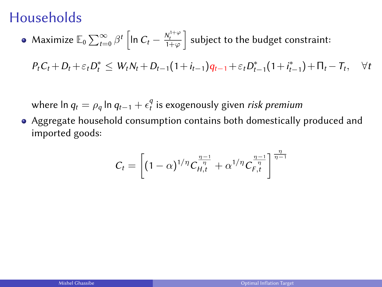Maximize  $\mathbb{E}_0\sum_{t=0}^{\infty}\beta^t\left[\ln C_t-\frac{N_t^{1+\varphi}}{1+\varphi}\right]$  subject to the budget constraint:

 $P_t C_t + D_t + \varepsilon_t D_t^* \leq W_t N_t + D_{t-1} (1 + i_{t-1}) q_{t-1} + \varepsilon_t D_{t-1}^* (1 + i_{t-1}^*) + \Pi_t - T_t$  $\forall t$ 

where ln  $q_t = \rho_q \ln q_{t-1} + \epsilon_t^q$  is exogenously given *risk premium* 

Aggregate household consumption contains both domestically produced and imported goods:

$$
C_t = \left[ (1 - \alpha)^{1/\eta} C_{H,t}^{\frac{\eta - 1}{\eta}} + \alpha^{1/\eta} C_{F,t}^{\frac{\eta - 1}{\eta}} \right]^{\frac{\eta}{\eta - 1}}
$$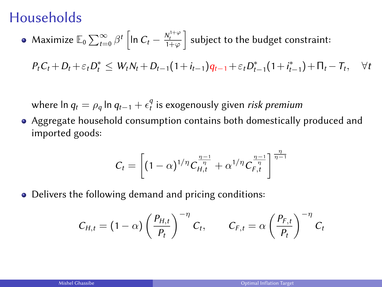Maximize  $\mathbb{E}_0\sum_{t=0}^{\infty}\beta^t\left[\ln C_t-\frac{N_t^{1+\varphi}}{1+\varphi}\right]$  subject to the budget constraint:

 $P_t C_t + D_t + \varepsilon_t D_t^* \leq W_t N_t + D_{t-1} (1 + i_{t-1}) q_{t-1} + \varepsilon_t D_{t-1}^* (1 + i_{t-1}^*) + \Pi_t - T_t$  $\forall t$ 

where ln  $q_t = \rho_q \ln q_{t-1} + \epsilon_t^q$  is exogenously given *risk premium* 

Aggregate household consumption contains both domestically produced and imported goods:

$$
C_t = \left[ (1 - \alpha)^{1/\eta} C_{H,t}^{\frac{\eta - 1}{\eta}} + \alpha^{1/\eta} C_{F,t}^{\frac{\eta - 1}{\eta}} \right]^{\frac{\eta}{\eta - 1}}
$$

• Delivers the following demand and pricing conditions:

$$
C_{H,t} = (1 - \alpha) \left(\frac{P_{H,t}}{P_t}\right)^{-\eta} C_t, \qquad C_{F,t} = \alpha \left(\frac{P_{F,t}}{P_t}\right)^{-\eta} C_t
$$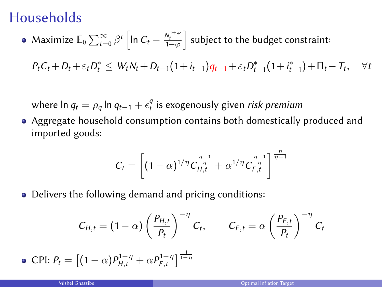Maximize  $\mathbb{E}_0\sum_{t=0}^{\infty}\beta^t\left[\ln C_t-\frac{N_t^{1+\varphi}}{1+\varphi}\right]$  subject to the budget constraint:

 $P_t C_t + D_t + \varepsilon_t D_t^* \leq W_t N_t + D_{t-1} (1 + i_{t-1}) q_{t-1} + \varepsilon_t D_{t-1}^* (1 + i_{t-1}^*) + \Pi_t - T_t$  $\forall t$ 

where ln  $q_t = \rho_q \ln q_{t-1} + \epsilon_t^q$  is exogenously given *risk premium* 

Aggregate household consumption contains both domestically produced and imported goods:

$$
C_t = \left[ (1 - \alpha)^{1/\eta} C_{H,t}^{\frac{\eta - 1}{\eta}} + \alpha^{1/\eta} C_{F,t}^{\frac{\eta - 1}{\eta}} \right]^{\frac{\eta}{\eta - 1}}
$$

• Delivers the following demand and pricing conditions:

$$
C_{H,t} = (1 - \alpha) \left(\frac{P_{H,t}}{P_t}\right)^{-\eta} C_t, \qquad C_{F,t} = \alpha \left(\frac{P_{F,t}}{P_t}\right)^{-\eta} C_t
$$

• **CPI:** 
$$
P_t = [(1 - \alpha)P_{H,t}^{1-\eta} + \alpha P_{F,t}^{1-\eta}]^{\frac{1}{1-\eta}}
$$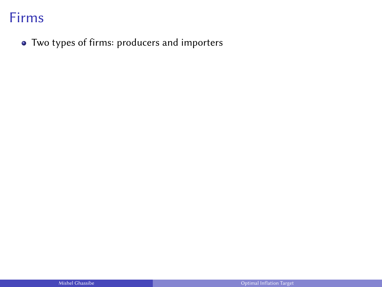Two types of firms: producers and importers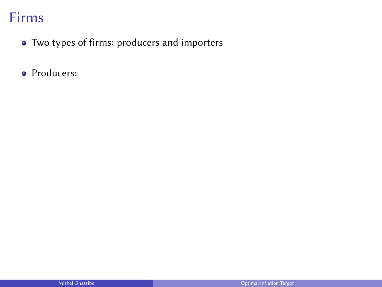- Two types of firms: producers and importers
- Producers: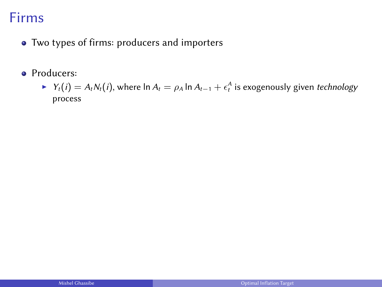- Two types of firms: producers and importers
- **•** Producers:
	- ►  $Y_t(i) = A_t N_t(i)$ , where  $\ln A_t = \rho_A \ln A_{t-1} + \epsilon_t^A$  is exogenously given technology process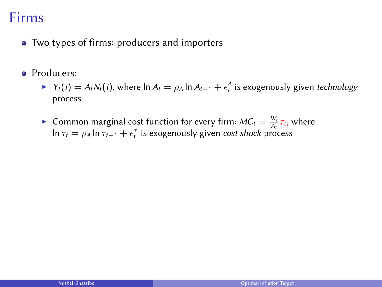- Two types of firms: producers and importers
- **•** Producers:
	- ►  $Y_t(i) = A_t N_t(i)$ , where  $\ln A_t = \rho_A \ln A_{t-1} + \epsilon_t^A$  is exogenously given technology process
	- **Common marginal cost function for every firm:**  $MC_t = \frac{W_t}{A_t} \tau_t$ , where  $\ln \tau_t = \rho_A \ln \tau_{t-1} + \epsilon_t^\tau$  is exogenously given *cost shock* process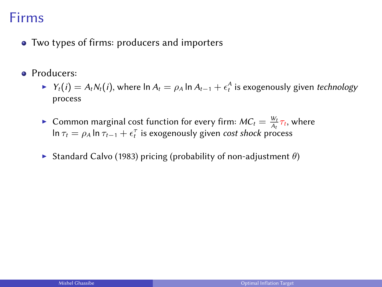- Two types of firms: producers and importers
- **•** Producers:
	- ►  $Y_t(i) = A_t N_t(i)$ , where  $\ln A_t = \rho_A \ln A_{t-1} + \epsilon_t^A$  is exogenously given technology process
	- **Common marginal cost function for every firm:**  $MC_t = \frac{W_t}{A_t} \tau_t$ , where  $\ln \tau_t = \rho_A \ln \tau_{t-1} + \epsilon_t^\tau$  is exogenously given *cost shock* process
	- Standard Calvo (1983) pricing (probability of non-adjustment  $\theta$ )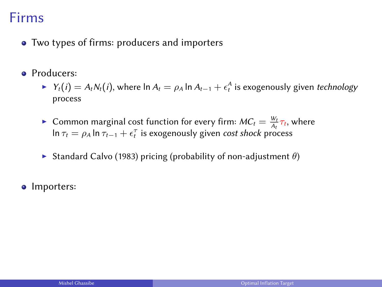- Two types of firms: producers and importers
- **•** Producers:
	- ►  $Y_t(i) = A_t N_t(i)$ , where  $\ln A_t = \rho_A \ln A_{t-1} + \epsilon_t^A$  is exogenously given technology process
	- ► Common marginal cost function for every firm:  $MC_t = \frac{W_t}{A_t} \tau_t$ , where Let  $\lim_{t \to \infty} \lim_{t \to \infty} \frac{1}{t}$  is exogenously given cost shock process
	- Standard Calvo (1983) pricing (probability of non-adjustment  $\theta$ )
- Importers: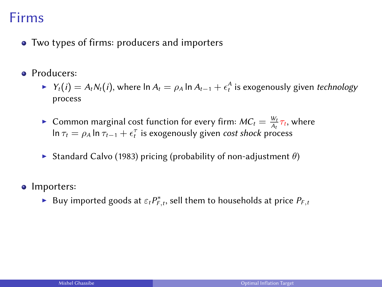- Two types of firms: producers and importers
- **•** Producers:
	- ►  $Y_t(i) = A_t N_t(i)$ , where  $\ln A_t = \rho_A \ln A_{t-1} + \epsilon_t^A$  is exogenously given technology process
	- **Common marginal cost function for every firm:**  $MC_t = \frac{W_t}{A_t} \tau_t$ , where  $\ln \tau_t = \rho_A \ln \tau_{t-1} + \epsilon_t^\tau$  is exogenously given *cost shock* process
	- Standard Calvo (1983) pricing (probability of non-adjustment  $\theta$ )
- Importers:
	- ► Buy imported goods at  $\varepsilon_t P_{F,t}^*$ , sell them to households at price  $P_{F,t}$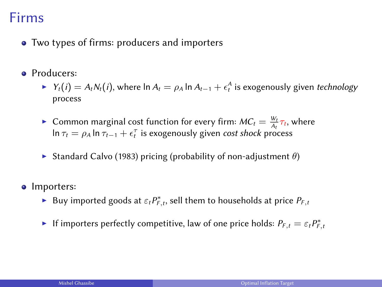- Two types of firms: producers and importers
- **•** Producers:
	- ►  $Y_t(i) = A_t N_t(i)$ , where  $\ln A_t = \rho_A \ln A_{t-1} + \epsilon_t^A$  is exogenously given technology process
	- **Common marginal cost function for every firm:**  $MC_t = \frac{W_t}{A_t} \tau_t$ , where  $\ln \tau_t = \rho_A \ln \tau_{t-1} + \epsilon_t^\tau$  is exogenously given *cost shock* process
	- Standard Calvo (1983) pricing (probability of non-adjustment  $\theta$ )
- Importers:
	- ► Buy imported goods at  $\varepsilon_t P_{F,t}^*$ , sell them to households at price  $P_{F,t}$
	- If importers perfectly competitive, law of one price holds:  $P_{F,t} = \varepsilon_t P_{F,t}^*$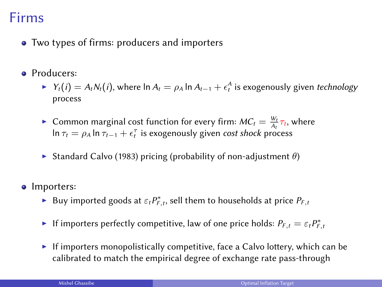- Two types of firms: producers and importers
- **•** Producers:
	- ►  $Y_t(i) = A_t N_t(i)$ , where  $\ln A_t = \rho_A \ln A_{t-1} + \epsilon_t^A$  is exogenously given technology process
	- **Common marginal cost function for every firm:**  $MC_t = \frac{W_t}{A_t} \tau_t$ , where  $\ln \tau_t = \rho_A \ln \tau_{t-1} + \epsilon_t^\tau$  is exogenously given *cost shock* process
	- Standard Calvo (1983) pricing (probability of non-adjustment  $\theta$ )
- Importers:
	- ► Buy imported goods at  $\varepsilon_t P_{F,t}^*$ , sell them to households at price  $P_{F,t}$
	- If importers perfectly competitive, law of one price holds:  $P_{F,t} = \varepsilon_t P_{F,t}^*$
	- If importers monopolistically competitive, face a Calvo lottery, which can be calibrated to match the empirical degree of exchange rate pass-through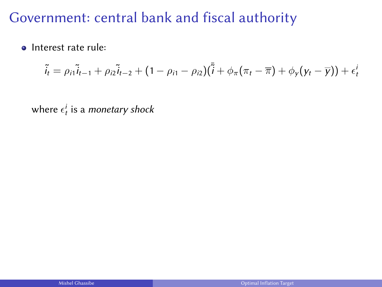• Interest rate rule:

$$
\tilde{i}_t = \rho_{i1}\tilde{i}_{t-1} + \rho_{i2}\tilde{i}_{t-2} + (1 - \rho_{i1} - \rho_{i2})(\tilde{i} + \phi_\pi(\pi_t - \overline{\pi}) + \phi_y(y_t - \overline{y})) + \epsilon_t^i
$$

where  $\epsilon^i_t$  is a monetary shock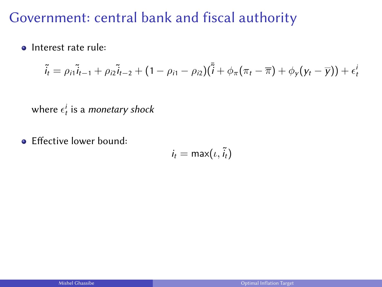• Interest rate rule:

$$
\tilde{i}_t = \rho_{i1}\tilde{i}_{t-1} + \rho_{i2}\tilde{i}_{t-2} + (1 - \rho_{i1} - \rho_{i2})(\tilde{i} + \phi_\pi(\pi_t - \overline{\pi}) + \phi_y(y_t - \overline{y})) + \epsilon_t^i
$$

where  $\epsilon^i_t$  is a monetary shock

• Effective lower bound:

$$
i_t = \max(i, \tilde{i}_t)
$$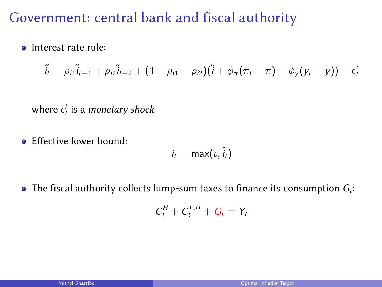**o** Interest rate rule:

$$
\tilde{i}_t = \rho_{i1}\tilde{i}_{t-1} + \rho_{i2}\tilde{i}_{t-2} + (1 - \rho_{i1} - \rho_{i2})(\tilde{i} + \phi_\pi(\pi_t - \overline{\pi}) + \phi_y(y_t - \overline{y})) + \epsilon_t^i
$$

where  $\epsilon^i_t$  is a monetary shock

**E** Effective lower bound:

$$
i_t = \max(i, \tilde{i}_t)
$$

The fiscal authority collects lump-sum taxes to finance its consumption  $G_t$ :

$$
C_t^H + C_t^{*,H} + G_t = Y_t
$$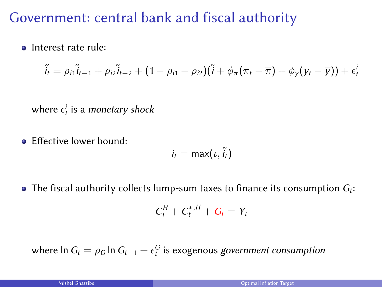**o** Interest rate rule:

$$
\tilde{i}_t = \rho_{i1}\tilde{i}_{t-1} + \rho_{i2}\tilde{i}_{t-2} + (1 - \rho_{i1} - \rho_{i2})(\tilde{i} + \phi_\pi(\pi_t - \overline{\pi}) + \phi_y(y_t - \overline{y})) + \epsilon_t^i
$$

where  $\epsilon^i_t$  is a monetary shock

**E** Effective lower bound:

$$
i_t = \max(i, \tilde{i}_t)
$$

The fiscal authority collects lump-sum taxes to finance its consumption  $G_t$ :

$$
C_t^H + C_t^{*,H} + G_t = Y_t
$$

where  $\ln G_t = \rho_G \ln G_{t-1} + \epsilon_t^G$  is exogenous *government consumption*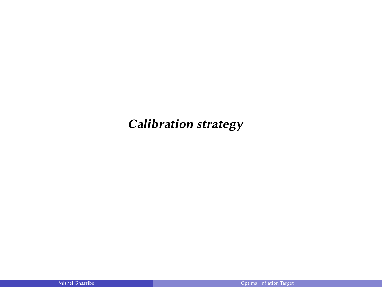### Calibration strategy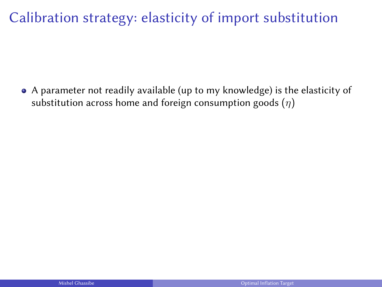A parameter not readily available (up to my knowledge) is the elasticity of substitution across home and foreign consumption goods  $(\eta)$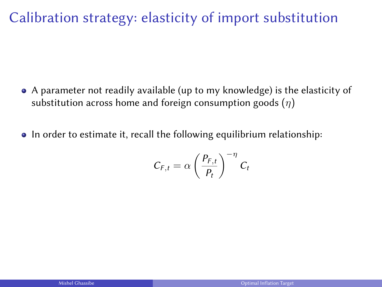- A parameter not readily available (up to my knowledge) is the elasticity of substitution across home and foreign consumption goods  $(\eta)$
- In order to estimate it, recall the following equilibrium relationship:

$$
C_{F,t} = \alpha \left(\frac{P_{F,t}}{P_t}\right)^{-\eta} C_t
$$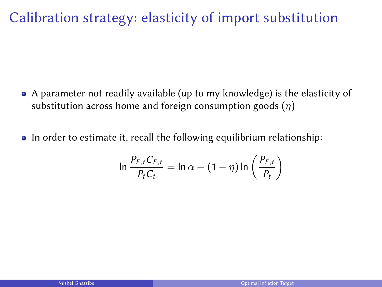- A parameter not readily available (up to my knowledge) is the elasticity of substitution across home and foreign consumption goods  $(\eta)$
- In order to estimate it, recall the following equilibrium relationship:

$$
\ln \frac{P_{F,t}C_{F,t}}{P_tC_t} = \ln \alpha + (1 - \eta) \ln \left( \frac{P_{F,t}}{P_t} \right)
$$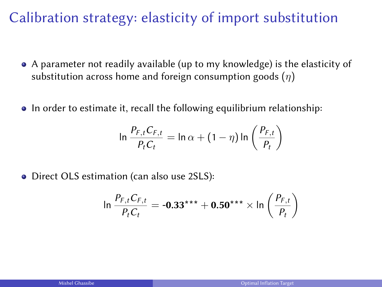- A parameter not readily available (up to my knowledge) is the elasticity of substitution across home and foreign consumption goods  $(\eta)$
- In order to estimate it, recall the following equilibrium relationship:

$$
\ln \frac{P_{F,t}C_{F,t}}{P_tC_t} = \ln \alpha + (1 - \eta) \ln \left( \frac{P_{F,t}}{P_t} \right)
$$

• Direct OLS estimation (can also use 2SLS):

$$
\ln \frac{P_{F,t}C_{F,t}}{P_{t}C_{t}} = -0.33^{***} + 0.50^{***} \times \ln \left(\frac{P_{F,t}}{P_{t}}\right)
$$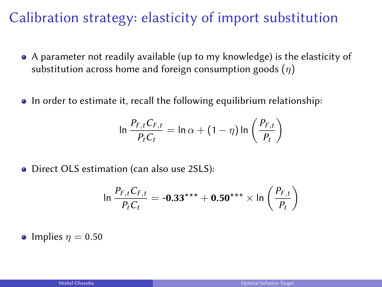- A parameter not readily available (up to my knowledge) is the elasticity of substitution across home and foreign consumption goods  $(\eta)$
- In order to estimate it, recall the following equilibrium relationship:

$$
\ln \frac{P_{F,t}C_{F,t}}{P_tC_t} = \ln \alpha + (1 - \eta) \ln \left( \frac{P_{F,t}}{P_t} \right)
$$

• Direct OLS estimation (can also use 2SLS):

$$
\ln \frac{P_{F,t}C_{F,t}}{P_{t}C_{t}} = -0.33*** + 0.50*** \times \ln \left(\frac{P_{F,t}}{P_{t}}\right)
$$

• Implies  $\eta = 0.50$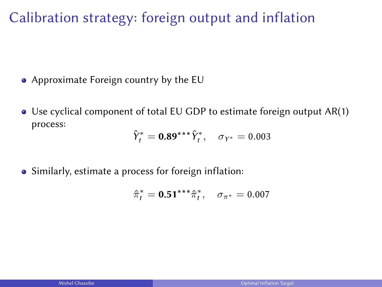Calibration strategy: foreign output and inflation

- Approximate Foreign country by the EU
- Use cyclical component of total EU GDP to estimate foreign output AR(1) process:

$$
\hat{Y}_t^* = 0.89^{***}\hat{Y}_t^*, \quad \sigma_{Y^*} = 0.003
$$

Similarly, estimate a process for foreign inflation:

$$
\hat{\pi}_t^* = \mathbf{0.51}^{***} \hat{\pi}_t^*, \quad \sigma_{\pi^*} = 0.007
$$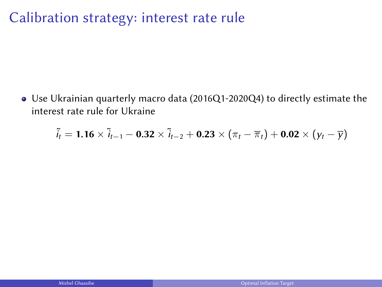### Calibration strategy: interest rate rule

Use Ukrainian quarterly macro data (2016Q1-2020Q4) to directly estimate the interest rate rule for Ukraine

$$
\tilde{i}_t=1.16\times\tilde{i}_{t-1}-0.32\times\tilde{i}_{t-2}+0.23\times(\pi_t-\overline{\pi}_t)+0.02\times(y_t-\overline{y})
$$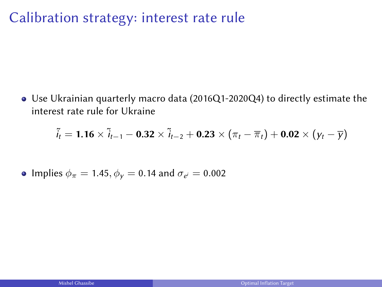### Calibration strategy: interest rate rule

Use Ukrainian quarterly macro data (2016Q1-2020Q4) to directly estimate the interest rate rule for Ukraine

$$
\tilde{i}_t=1.16\times\tilde{i}_{t-1}-0.32\times\tilde{i}_{t-2}+0.23\times(\pi_t-\overline{\pi}_t)+0.02\times(y_t-\overline{y})
$$

• Implies 
$$
\phi_{\pi} = 1.45
$$
,  $\phi_{\gamma} = 0.14$  and  $\sigma_{e'} = 0.002$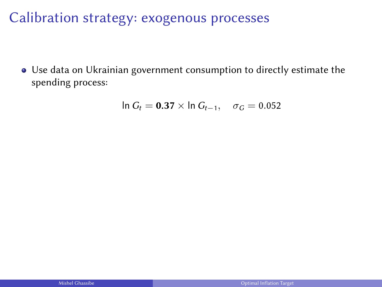Calibration strategy: exogenous processes

Use data on Ukrainian government consumption to directly estimate the spending process:

$$
\ln G_t = 0.37 \times \ln G_{t-1}, \quad \sigma_G = 0.052
$$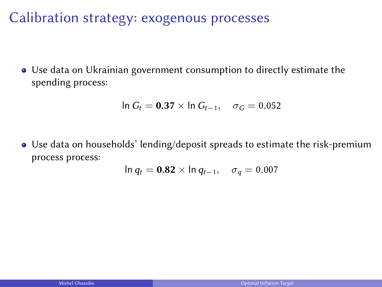Calibration strategy: exogenous processes

Use data on Ukrainian government consumption to directly estimate the spending process:

$$
\ln G_t = 0.37 \times \ln G_{t-1}, \quad \sigma_G = 0.052
$$

Use data on households' lending/deposit spreads to estimate the risk-premium process process:

$$
\ln q_t = \mathbf{0.82} \times \ln q_{t-1}, \quad \sigma_q = 0.007
$$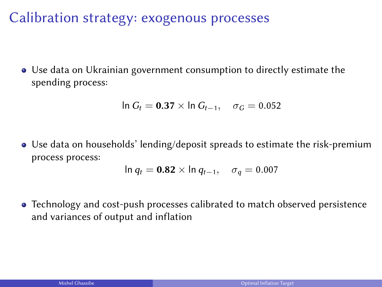Calibration strategy: exogenous processes

Use data on Ukrainian government consumption to directly estimate the spending process:

$$
\ln G_t = 0.37 \times \ln G_{t-1}, \quad \sigma_G = 0.052
$$

Use data on households' lending/deposit spreads to estimate the risk-premium process process:

$$
\ln q_t = \mathbf{0.82} \times \ln q_{t-1}, \quad \sigma_q = 0.007
$$

Technology and cost-push processes calibrated to match observed persistence and variances of output and inflation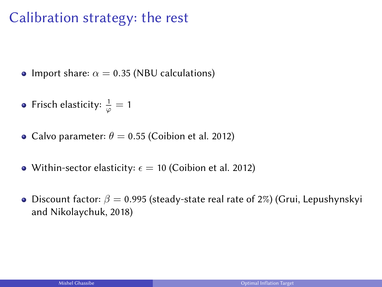# Calibration strategy: the rest

- Import share:  $\alpha = 0.35$  (NBU calculations)
- Frisch elasticity:  $\frac{1}{\varphi} = 1$
- Calvo parameter:  $\theta = 0.55$  (Coibion et al. 2012)
- Within-sector elasticity:  $\epsilon = 10$  (Coibion et al. 2012)
- **•** Discount factor:  $\beta = 0.995$  (steady-state real rate of 2%) (Grui, Lepushynskyi and Nikolaychuk, 2018)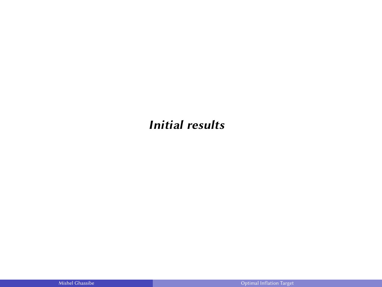#### Initial results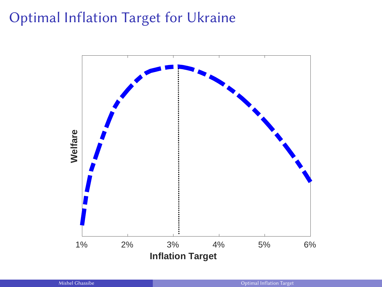# Optimal Inflation Target for Ukraine

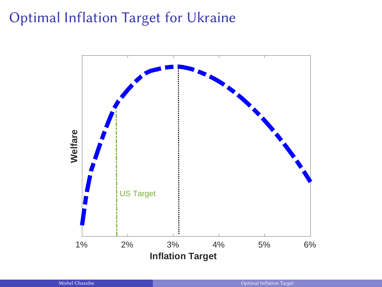# Optimal Inflation Target for Ukraine

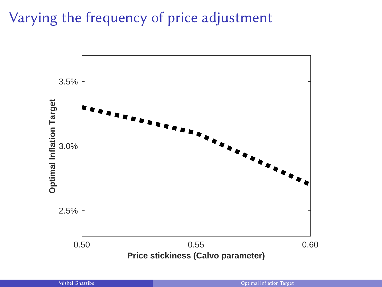Varying the frequency of price adjustment

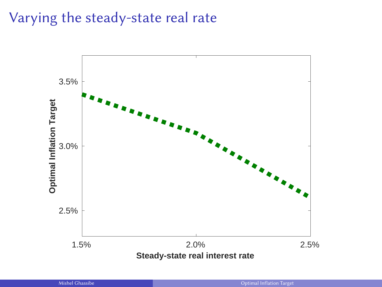# Varying the steady-state real rate

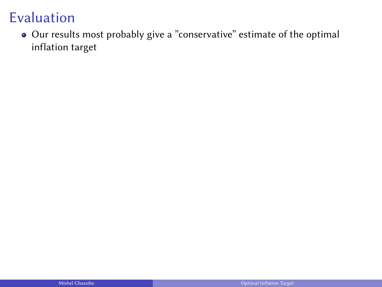Our results most probably give a "conservative" estimate of the optimal inflation target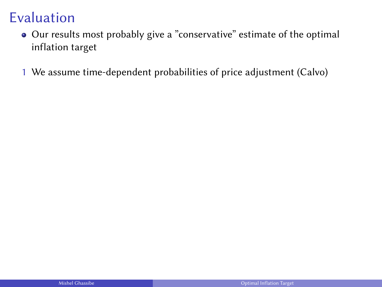- Our results most probably give a "conservative" estimate of the optimal inflation target
- 1 We assume time-dependent probabilities of price adjustment (Calvo)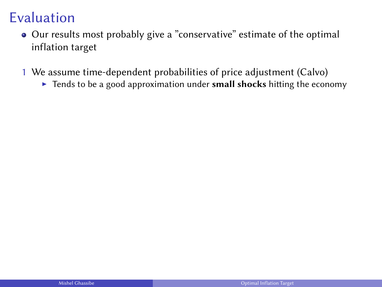- Our results most probably give a "conservative" estimate of the optimal inflation target
- 1 We assume time-dependent probabilities of price adjustment (Calvo)
	- $\triangleright$  Tends to be a good approximation under small shocks hitting the economy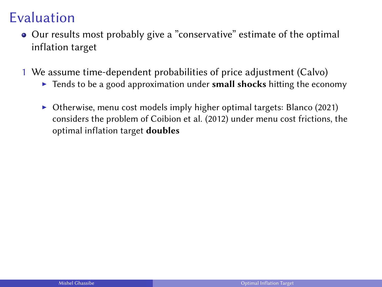- Our results most probably give a "conservative" estimate of the optimal inflation target
- 1 We assume time-dependent probabilities of price adjustment (Calvo)
	- $\triangleright$  Tends to be a good approximation under small shocks hitting the economy
	- $\triangleright$  Otherwise, menu cost models imply higher optimal targets: Blanco (2021) considers the problem of Coibion et al. (2012) under menu cost frictions, the optimal inflation target doubles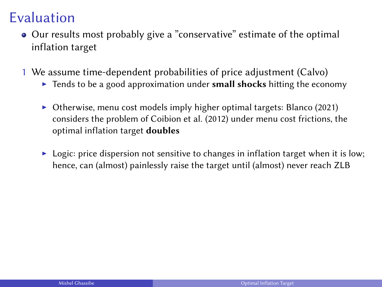- Our results most probably give a "conservative" estimate of the optimal inflation target
- 1 We assume time-dependent probabilities of price adjustment (Calvo)
	- $\triangleright$  Tends to be a good approximation under small shocks hitting the economy
	- $\triangleright$  Otherwise, menu cost models imply higher optimal targets: Blanco (2021) considers the problem of Coibion et al. (2012) under menu cost frictions, the optimal inflation target doubles
	- $\blacktriangleright$  Logic: price dispersion not sensitive to changes in inflation target when it is low; hence, can (almost) painlessly raise the target until (almost) never reach ZLB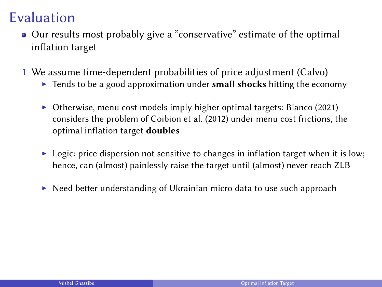- Our results most probably give a "conservative" estimate of the optimal inflation target
- 1 We assume time-dependent probabilities of price adjustment (Calvo)
	- $\triangleright$  Tends to be a good approximation under small shocks hitting the economy
	- $\triangleright$  Otherwise, menu cost models imply higher optimal targets: Blanco (2021) considers the problem of Coibion et al. (2012) under menu cost frictions, the optimal inflation target doubles
	- $\blacktriangleright$  Logic: price dispersion not sensitive to changes in inflation target when it is low; hence, can (almost) painlessly raise the target until (almost) never reach ZLB
	- $\triangleright$  Need better understanding of Ukrainian micro data to use such approach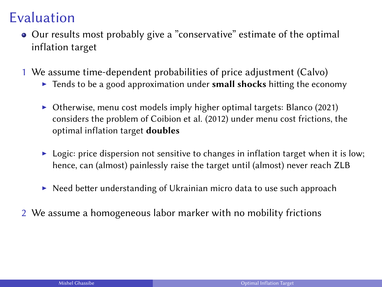- Our results most probably give a "conservative" estimate of the optimal inflation target
- 1 We assume time-dependent probabilities of price adjustment (Calvo)
	- $\triangleright$  Tends to be a good approximation under small shocks hitting the economy
	- $\triangleright$  Otherwise, menu cost models imply higher optimal targets: Blanco (2021) considers the problem of Coibion et al. (2012) under menu cost frictions, the optimal inflation target doubles
	- $\blacktriangleright$  Logic: price dispersion not sensitive to changes in inflation target when it is low; hence, can (almost) painlessly raise the target until (almost) never reach ZLB
	- $\triangleright$  Need better understanding of Ukrainian micro data to use such approach
- 2 We assume a homogeneous labor marker with no mobility frictions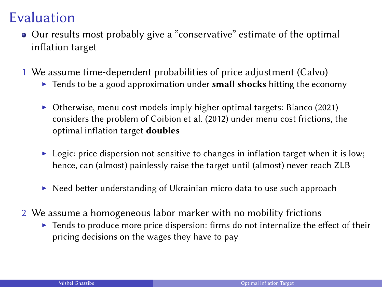- Our results most probably give a "conservative" estimate of the optimal inflation target
- 1 We assume time-dependent probabilities of price adjustment (Calvo)
	- $\triangleright$  Tends to be a good approximation under small shocks hitting the economy
	- $\triangleright$  Otherwise, menu cost models imply higher optimal targets: Blanco (2021) considers the problem of Coibion et al. (2012) under menu cost frictions, the optimal inflation target doubles
	- $\blacktriangleright$  Logic: price dispersion not sensitive to changes in inflation target when it is low; hence, can (almost) painlessly raise the target until (almost) never reach ZLB
	- $\triangleright$  Need better understanding of Ukrainian micro data to use such approach
- 2 We assume a homogeneous labor marker with no mobility frictions
	- $\blacktriangleright$  Tends to produce more price dispersion: firms do not internalize the effect of their pricing decisions on the wages they have to pay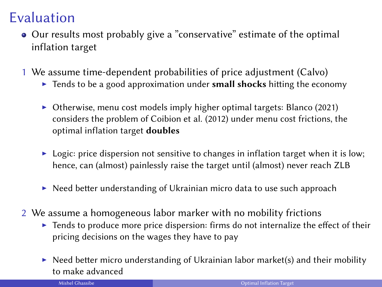- Our results most probably give a "conservative" estimate of the optimal inflation target
- 1 We assume time-dependent probabilities of price adjustment (Calvo)
	- $\triangleright$  Tends to be a good approximation under small shocks hitting the economy
	- $\triangleright$  Otherwise, menu cost models imply higher optimal targets: Blanco (2021) considers the problem of Coibion et al. (2012) under menu cost frictions, the optimal inflation target doubles
	- $\triangleright$  Logic: price dispersion not sensitive to changes in inflation target when it is low; hence, can (almost) painlessly raise the target until (almost) never reach ZLB
	- $\triangleright$  Need better understanding of Ukrainian micro data to use such approach
- 2 We assume a homogeneous labor marker with no mobility frictions
	- $\blacktriangleright$  Tends to produce more price dispersion: firms do not internalize the effect of their pricing decisions on the wages they have to pay
	- $\triangleright$  Need better micro understanding of Ukrainian labor market(s) and their mobility to make advanced